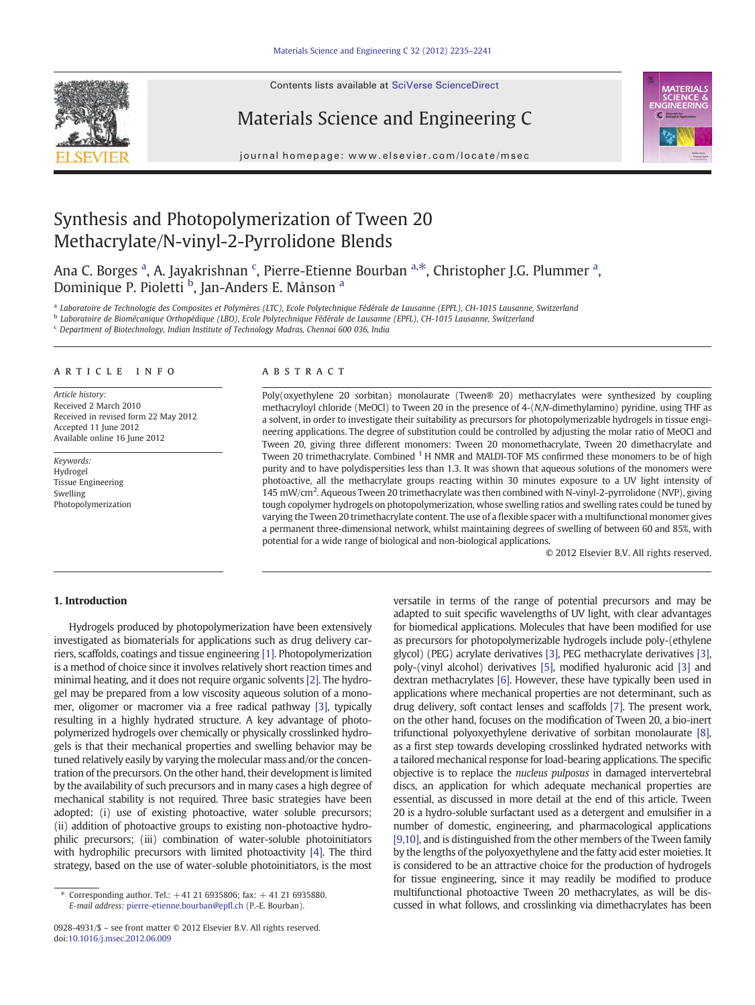Contents lists available at SciVerse ScienceDirect







journal homepage: www.elsevier.com/locate/msec

# Synthesis and Photopolymerization of Tween 20 Methacrylate/N-vinyl-2-Pyrrolidone Blends

Ana C. Borges <sup>a</sup>, A. Jayakrishnan <sup>c</sup>, Pierre-Etienne Bourban <sup>a,\*</sup>, Christopher J.G. Plummer <sup>a</sup>, Dominique P. Pioletti <sup>b</sup>, Jan-Anders E. Månson <sup>a</sup>

<sup>a</sup> Laboratoire de Technologie des Composites et Polymères (LTC), Ecole Polytechnique Fédérale de Lausanne (EPFL), CH-1015 Lausanne, Switzerland

<sup>b</sup> Laboratoire de Biomécanique Orthopédique (LBO), Ecole Polytechnique Fédérale de Lausanne (EPFL), CH-1015 Lausanne, Switzerland

<sup>c</sup> Department of Biotechnology, Indian Institute of Technology Madras, Chennai 600 036, India

# article info abstract

Article history: Received 2 March 2010 Received in revised form 22 May 2012 Accepted 11 June 2012 Available online 16 June 2012

Keywords: Hydrogel Tissue Engineering Swelling Photopolymerization

Poly(oxyethylene 20 sorbitan) monolaurate (Tween® 20) methacrylates were synthesized by coupling methacryloyl chloride (MeOCl) to Tween 20 in the presence of 4-(N,N-dimethylamino) pyridine, using THF as a solvent, in order to investigate their suitability as precursors for photopolymerizable hydrogels in tissue engineering applications. The degree of substitution could be controlled by adjusting the molar ratio of MeOCl and Tween 20, giving three different monomers: Tween 20 monomethacrylate, Tween 20 dimethacrylate and Tween 20 trimethacrylate. Combined <sup>1</sup> H NMR and MALDI-TOF MS confirmed these monomers to be of high purity and to have polydispersities less than 1.3. It was shown that aqueous solutions of the monomers were photoactive, all the methacrylate groups reacting within 30 minutes exposure to a UV light intensity of 145 mW/cm<sup>2</sup>. Aqueous Tween 20 trimethacrylate was then combined with N-vinyl-2-pyrrolidone (NVP), giving tough copolymer hydrogels on photopolymerization, whose swelling ratios and swelling rates could be tuned by varying the Tween 20 trimethacrylate content. The use of a flexible spacer with a multifunctional monomer gives a permanent three-dimensional network, whilst maintaining degrees of swelling of between 60 and 85%, with potential for a wide range of biological and non-biological applications.

© 2012 Elsevier B.V. All rights reserved.

# 1. Introduction

Hydrogels produced by photopolymerization have been extensively investigated as biomaterials for applications such as drug delivery carriers, scaffolds, coatings and tissue engineering [\[1\]](#page-5-0). Photopolymerization is a method of choice since it involves relatively short reaction times and minimal heating, and it does not require organic solvents [\[2\]](#page-5-0). The hydrogel may be prepared from a low viscosity aqueous solution of a monomer, oligomer or macromer via a free radical pathway [\[3\]](#page-5-0), typically resulting in a highly hydrated structure. A key advantage of photopolymerized hydrogels over chemically or physically crosslinked hydrogels is that their mechanical properties and swelling behavior may be tuned relatively easily by varying the molecular mass and/or the concentration of the precursors. On the other hand, their development is limited by the availability of such precursors and in many cases a high degree of mechanical stability is not required. Three basic strategies have been adopted: (i) use of existing photoactive, water soluble precursors; (ii) addition of photoactive groups to existing non-photoactive hydrophilic precursors; (iii) combination of water-soluble photoinitiators with hydrophilic precursors with limited photoactivity [\[4\]](#page-5-0). The third strategy, based on the use of water-soluble photoinitiators, is the most

versatile in terms of the range of potential precursors and may be adapted to suit specific wavelengths of UV light, with clear advantages for biomedical applications. Molecules that have been modified for use as precursors for photopolymerizable hydrogels include poly-(ethylene glycol) (PEG) acrylate derivatives [\[3\]](#page-5-0), PEG methacrylate derivatives [\[3\],](#page-5-0) poly-(vinyl alcohol) derivatives [\[5\]](#page-5-0), modified hyaluronic acid [\[3\]](#page-5-0) and dextran methacrylates [\[6\]](#page-5-0). However, these have typically been used in applications where mechanical properties are not determinant, such as drug delivery, soft contact lenses and scaffolds [\[7\]](#page-5-0). The present work, on the other hand, focuses on the modification of Tween 20, a bio-inert trifunctional polyoxyethylene derivative of sorbitan monolaurate [\[8\],](#page-5-0) as a first step towards developing crosslinked hydrated networks with a tailored mechanical response for load-bearing applications. The specific objective is to replace the nucleus pulposus in damaged intervertebral discs, an application for which adequate mechanical properties are essential, as discussed in more detail at the end of this article. Tween 20 is a hydro-soluble surfactant used as a detergent and emulsifier in a number of domestic, engineering, and pharmacological applications [\[9,10\],](#page-5-0) and is distinguished from the other members of the Tween family by the lengths of the polyoxyethylene and the fatty acid ester moieties. It is considered to be an attractive choice for the production of hydrogels for tissue engineering, since it may readily be modified to produce multifunctional photoactive Tween 20 methacrylates, as will be discussed in what follows, and crosslinking via dimethacrylates has been

Corresponding author. Tel.:  $+41$  21 6935806; fax:  $+41$  21 6935880. E-mail address: [pierre-etienne.bourban@ep](mailto:pierre-etienne.bourban@epfl.ch)fl.ch (P.-E. Bourban).

<sup>0928-4931/\$</sup> – see front matter © 2012 Elsevier B.V. All rights reserved. doi:[10.1016/j.msec.2012.06.009](http://dx.doi.org/10.1016/j.msec.2012.06.009)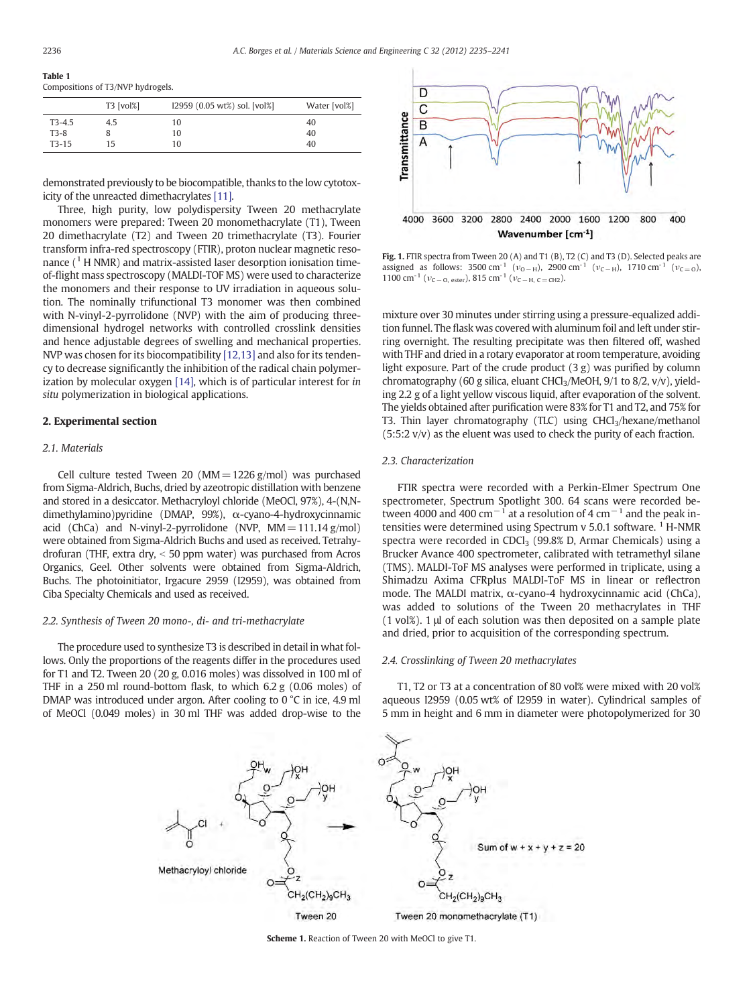#### <span id="page-1-0"></span>Table 1 Compositions of T3/NVP hydrogels.

|          | T3 [vol%] | I2959 (0.05 wt%) sol. [vol%] | Water [vol%] |
|----------|-----------|------------------------------|--------------|
| $T3-4.5$ | 4.5       | 10                           | 40           |
| $T3-8$   |           | 10                           | 40           |
| $T3-15$  | 15        | 10                           | 40           |

demonstrated previously to be biocompatible, thanks to the low cytotoxicity of the unreacted dimethacrylates [\[11\].](#page-5-0)

Three, high purity, low polydispersity Tween 20 methacrylate monomers were prepared: Tween 20 monomethacrylate (T1), Tween 20 dimethacrylate (T2) and Tween 20 trimethacrylate (T3). Fourier transform infra-red spectroscopy (FTIR), proton nuclear magnetic resonance  $(^{1}$  H NMR) and matrix-assisted laser desorption ionisation timeof-flight mass spectroscopy (MALDI-TOF MS) were used to characterize the monomers and their response to UV irradiation in aqueous solution. The nominally trifunctional T3 monomer was then combined with N-vinyl-2-pyrrolidone (NVP) with the aim of producing threedimensional hydrogel networks with controlled crosslink densities and hence adjustable degrees of swelling and mechanical properties. NVP was chosen for its biocompatibility [\[12,13\]](#page-5-0) and also for its tendency to decrease significantly the inhibition of the radical chain polymerization by molecular oxygen [\[14\],](#page-5-0) which is of particular interest for in situ polymerization in biological applications.

# 2. Experimental section

# 2.1. Materials

Cell culture tested Tween 20 ( $MM = 1226$  g/mol) was purchased from Sigma-Aldrich, Buchs, dried by azeotropic distillation with benzene and stored in a desiccator. Methacryloyl chloride (MeOCl, 97%), 4-(N,Ndimethylamino)pyridine (DMAP, 99%), α-cyano-4-hydroxycinnamic acid (ChCa) and N-vinyl-2-pyrrolidone (NVP,  $MM = 111.14$  g/mol) were obtained from Sigma-Aldrich Buchs and used as received. Tetrahydrofuran (THF, extra dry,  $<$  50 ppm water) was purchased from Acros Organics, Geel. Other solvents were obtained from Sigma-Aldrich, Buchs. The photoinitiator, Irgacure 2959 (I2959), was obtained from Ciba Specialty Chemicals and used as received.

## 2.2. Synthesis of Tween 20 mono-, di- and tri-methacrylate

The procedure used to synthesize T3 is described in detail in what follows. Only the proportions of the reagents differ in the procedures used for T1 and T2. Tween 20 (20 g, 0.016 moles) was dissolved in 100 ml of THF in a 250 ml round-bottom flask, to which 6.2 g (0.06 moles) of DMAP was introduced under argon. After cooling to 0 °C in ice, 4.9 ml of MeOCl (0.049 moles) in 30 ml THF was added drop-wise to the



Fig. 1. FTIR spectra from Tween 20 (A) and T1 (B), T2 (C) and T3 (D). Selected peaks are assigned as follows: 3500 cm<sup>-1</sup> ( $v_{O-H}$ ), 2900 cm<sup>-1</sup> ( $v_{C-H}$ ), 1710 cm<sup>-1</sup> ( $v_{C=O}$ ), 1100 cm<sup>-1</sup> ( $v_{C-O, \text{ester}}$ ), 815 cm<sup>-1</sup> ( $v_{C-H, C=CH2}$ ).

mixture over 30 minutes under stirring using a pressure-equalized addition funnel. The flask was covered with aluminum foil and left under stirring overnight. The resulting precipitate was then filtered off, washed with THF and dried in a rotary evaporator at room temperature, avoiding light exposure. Part of the crude product  $(3 g)$  was purified by column chromatography (60 g silica, eluant CHCl3/MeOH, 9/1 to 8/2, v/v), yielding 2.2 g of a light yellow viscous liquid, after evaporation of the solvent. The yields obtained after purification were 83% for T1 and T2, and 75% for T3. Thin layer chromatography (TLC) using  $CHCl<sub>3</sub>/hexane/methanol$ (5:5:2 v/v) as the eluent was used to check the purity of each fraction.

# 2.3. Characterization

FTIR spectra were recorded with a Perkin-Elmer Spectrum One spectrometer, Spectrum Spotlight 300. 64 scans were recorded between 4000 and 400 cm<sup>-1</sup> at a resolution of 4 cm<sup>-1</sup> and the peak intensities were determined using Spectrum v 5.0.1 software.<sup>1</sup> H-NMR spectra were recorded in CDCl<sub>3</sub> (99.8% D, Armar Chemicals) using a Brucker Avance 400 spectrometer, calibrated with tetramethyl silane (TMS). MALDI-ToF MS analyses were performed in triplicate, using a Shimadzu Axima CFRplus MALDI-ToF MS in linear or reflectron mode. The MALDI matrix, α-cyano-4 hydroxycinnamic acid (ChCa), was added to solutions of the Tween 20 methacrylates in THF (1 vol%). 1 μl of each solution was then deposited on a sample plate and dried, prior to acquisition of the corresponding spectrum.

# 2.4. Crosslinking of Tween 20 methacrylates

T1, T2 or T3 at a concentration of 80 vol% were mixed with 20 vol% aqueous I2959 (0.05 wt% of I2959 in water). Cylindrical samples of 5 mm in height and 6 mm in diameter were photopolymerized for 30



Scheme 1. Reaction of Tween 20 with MeOCl to give T1.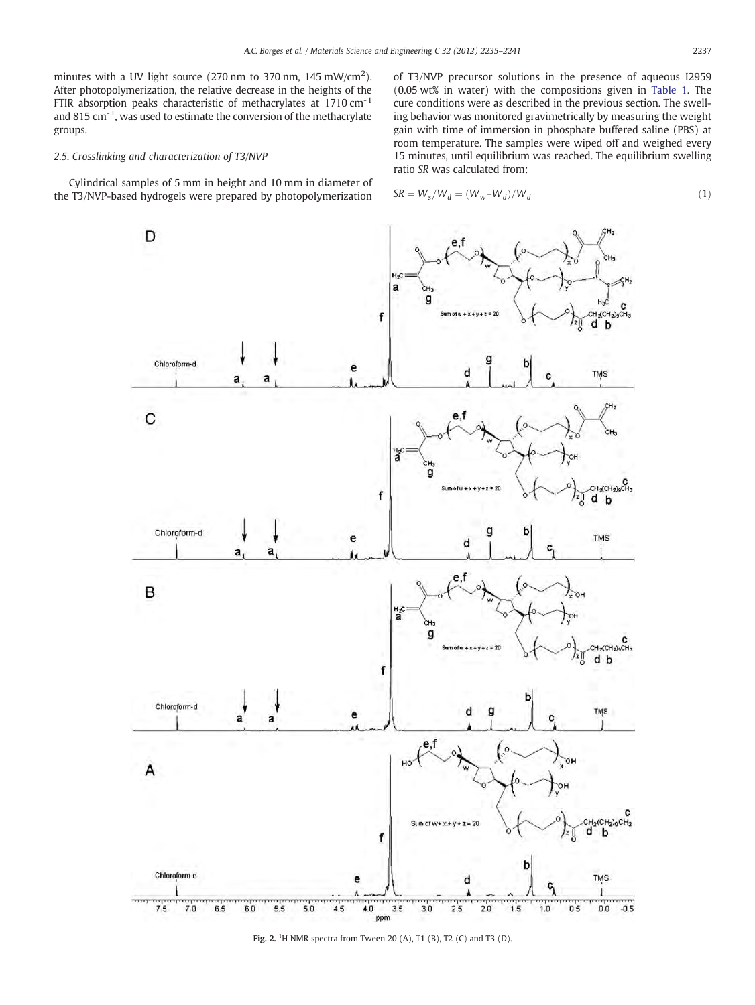<span id="page-2-0"></span>minutes with a UV light source (270 nm to 370 nm, 145 mW/cm<sup>2</sup>). After photopolymerization, the relative decrease in the heights of the FTIR absorption peaks characteristic of methacrylates at  $1710 \text{ cm}^{-1}$ and 815 cm $^{-1}$ , was used to estimate the conversion of the methacrylate groups.

# 2.5. Crosslinking and characterization of T3/NVP

Cylindrical samples of 5 mm in height and 10 mm in diameter of the T3/NVP-based hydrogels were prepared by photopolymerization

of T3/NVP precursor solutions in the presence of aqueous I2959 (0.05 wt% in water) with the compositions given in [Table 1](#page-1-0). The cure conditions were as described in the previous section. The swelling behavior was monitored gravimetrically by measuring the weight gain with time of immersion in phosphate buffered saline (PBS) at room temperature. The samples were wiped off and weighed every 15 minutes, until equilibrium was reached. The equilibrium swelling ratio SR was calculated from:

$$
SR = W_s/W_d = (W_w - W_d)/W_d
$$
\n<sup>(1)</sup>



Fig. 2. <sup>1</sup>H NMR spectra from Tween 20 (A), T1 (B), T2 (C) and T3 (D).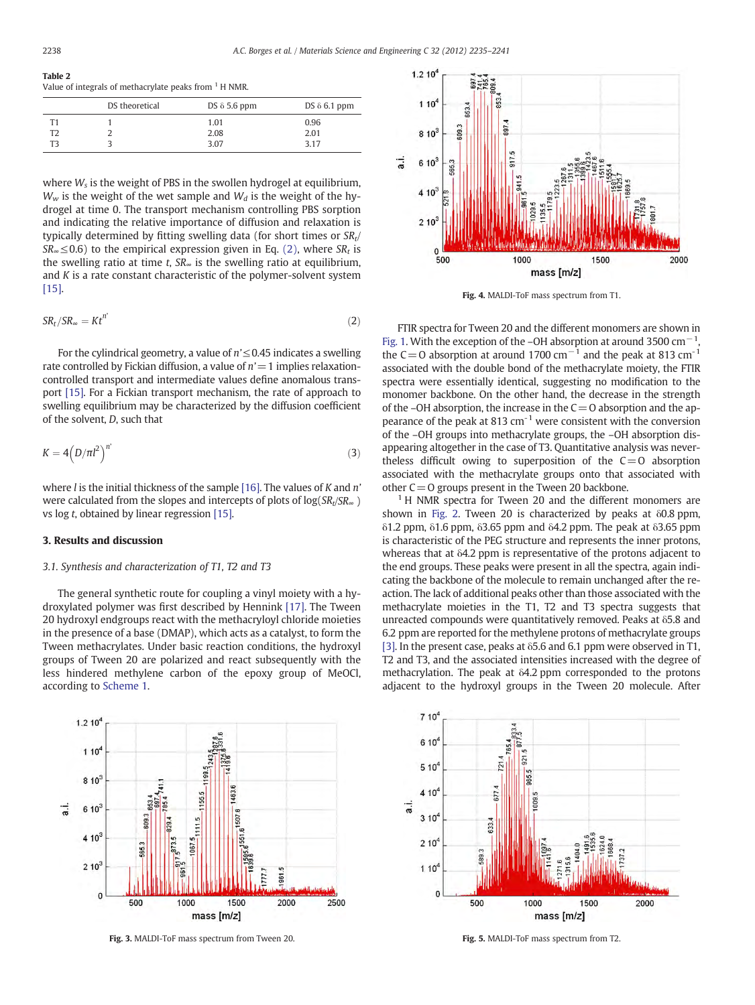<span id="page-3-0"></span>Table 2 Value of integrals of methacrylate peaks from <sup>1</sup> H NMR.

|    | DS theoretical | DS $\delta$ 5.6 ppm | DS $\delta$ 6.1 ppm |
|----|----------------|---------------------|---------------------|
| T1 |                | 1.01                | 0.96                |
| T2 |                | 2.08                | 2.01                |
| ፐ3 |                | 3.07                | 3.17                |

where  $W_s$  is the weight of PBS in the swollen hydrogel at equilibrium,  $W_w$  is the weight of the wet sample and  $W_d$  is the weight of the hydrogel at time 0. The transport mechanism controlling PBS sorption and indicating the relative importance of diffusion and relaxation is typically determined by fitting swelling data (for short times or  $SR<sub>t</sub>/$  $SR_{\infty} \leq 0.6$ ) to the empirical expression given in Eq. (2), where  $SR_t$  is the swelling ratio at time t,  $SR_{\infty}$  is the swelling ratio at equilibrium, and  $K$  is a rate constant characteristic of the polymer-solvent system [\[15\]](#page-5-0).

$$
SR_t / SR_\infty = Kt^{n'} \tag{2}
$$

For the cylindrical geometry, a value of  $n' \leq 0.45$  indicates a swelling rate controlled by Fickian diffusion, a value of  $n'=1$  implies relaxationcontrolled transport and intermediate values define anomalous transport [\[15\].](#page-5-0) For a Fickian transport mechanism, the rate of approach to swelling equilibrium may be characterized by the diffusion coefficient of the solvent, D, such that

$$
K = 4\left(D/\pi l^2\right)^{n'}\tag{3}
$$

where *l* is the initial thickness of the sample [\[16\].](#page-5-0) The values of *K* and  $n'$ were calculated from the slopes and intercepts of plots of  $log(SR_t/SR_\infty)$ vs log t, obtained by linear regression [\[15\].](#page-5-0)

# 3. Results and discussion

# 3.1. Synthesis and characterization of T1, T2 and T3

The general synthetic route for coupling a vinyl moiety with a hydroxylated polymer was first described by Hennink [\[17\]](#page-5-0). The Tween 20 hydroxyl endgroups react with the methacryloyl chloride moieties in the presence of a base (DMAP), which acts as a catalyst, to form the Tween methacrylates. Under basic reaction conditions, the hydroxyl groups of Tween 20 are polarized and react subsequently with the less hindered methylene carbon of the epoxy group of MeOCl, according to [Scheme 1](#page-1-0).



Fig. 3. MALDI-ToF mass spectrum from Tween 20.



Fig. 4. MALDI-ToF mass spectrum from T1.

FTIR spectra for Tween 20 and the different monomers are shown in [Fig. 1](#page-1-0). With the exception of the –OH absorption at around 3500 cm−<sup>1</sup> , the C=O absorption at around 1700 cm<sup>-1</sup> and the peak at 813 cm<sup>-1</sup> associated with the double bond of the methacrylate moiety, the FTIR spectra were essentially identical, suggesting no modification to the monomer backbone. On the other hand, the decrease in the strength of the –OH absorption, the increase in the  $C=O$  absorption and the appearance of the peak at 813  $cm^{-1}$  were consistent with the conversion of the –OH groups into methacrylate groups, the –OH absorption disappearing altogether in the case of T3. Quantitative analysis was nevertheless difficult owing to superposition of the  $C=O$  absorption associated with the methacrylate groups onto that associated with other  $C=O$  groups present in the Tween 20 backbone.

 $1$  H NMR spectra for Tween 20 and the different monomers are shown in [Fig. 2](#page-2-0). Tween 20 is characterized by peaks at δ0.8 ppm, δ1.2 ppm, δ1.6 ppm, δ3.65 ppm and δ4.2 ppm. The peak at δ3.65 ppm is characteristic of the PEG structure and represents the inner protons, whereas that at δ4.2 ppm is representative of the protons adjacent to the end groups. These peaks were present in all the spectra, again indicating the backbone of the molecule to remain unchanged after the reaction. The lack of additional peaks other than those associated with the methacrylate moieties in the T1, T2 and T3 spectra suggests that unreacted compounds were quantitatively removed. Peaks at δ5.8 and 6.2 ppm are reported for the methylene protons of methacrylate groups [\[3\].](#page-5-0) In the present case, peaks at  $\delta$ 5.6 and 6.1 ppm were observed in T1, T2 and T3, and the associated intensities increased with the degree of methacrylation. The peak at δ4.2 ppm corresponded to the protons adjacent to the hydroxyl groups in the Tween 20 molecule. After



Fig. 5. MALDI-ToF mass spectrum from T2.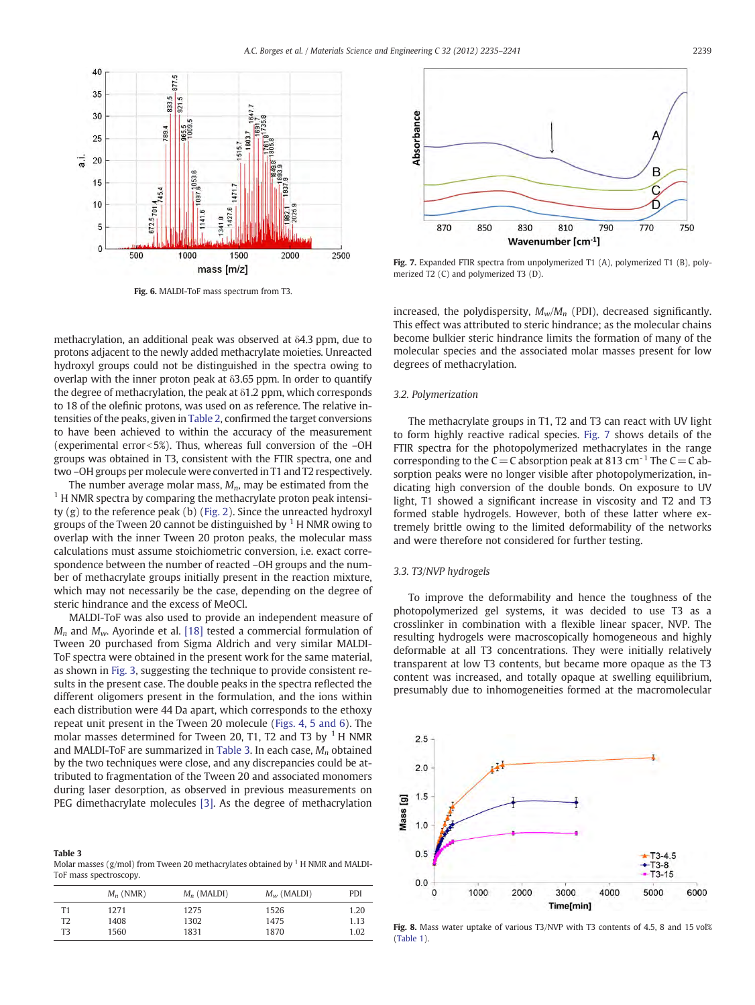<span id="page-4-0"></span>

Fig. 6. MALDI-ToF mass spectrum from T3.



Fig. 7. Expanded FTIR spectra from unpolymerized T1 (A), polymerized T1 (B), polymerized T2 (C) and polymerized T3 (D).

methacrylation, an additional peak was observed at δ4.3 ppm, due to protons adjacent to the newly added methacrylate moieties. Unreacted hydroxyl groups could not be distinguished in the spectra owing to overlap with the inner proton peak at  $\delta$ 3.65 ppm. In order to quantify the degree of methacrylation, the peak at  $\delta$ 1.2 ppm, which corresponds to 18 of the olefinic protons, was used on as reference. The relative intensities of the peaks, given in [Table 2,](#page-3-0) confirmed the target conversions to have been achieved to within the accuracy of the measurement (experimental error $<$ 5%). Thus, whereas full conversion of the –OH groups was obtained in T3, consistent with the FTIR spectra, one and two –OH groups per molecule were converted in T1 and T2 respectively.

The number average molar mass,  $M_n$ , may be estimated from the <sup>1</sup> H NMR spectra by comparing the methacrylate proton peak intensity (g) to the reference peak (b) [\(Fig. 2](#page-2-0)). Since the unreacted hydroxyl groups of the Tween 20 cannot be distinguished by  $<sup>1</sup>$  H NMR owing to</sup> overlap with the inner Tween 20 proton peaks, the molecular mass calculations must assume stoichiometric conversion, i.e. exact correspondence between the number of reacted –OH groups and the number of methacrylate groups initially present in the reaction mixture, which may not necessarily be the case, depending on the degree of steric hindrance and the excess of MeOCl.

MALDI-ToF was also used to provide an independent measure of  $M_n$  and  $M_w$ . Ayorinde et al. [\[18\]](#page-5-0) tested a commercial formulation of Tween 20 purchased from Sigma Aldrich and very similar MALDI-ToF spectra were obtained in the present work for the same material, as shown in [Fig. 3](#page-3-0), suggesting the technique to provide consistent results in the present case. The double peaks in the spectra reflected the different oligomers present in the formulation, and the ions within each distribution were 44 Da apart, which corresponds to the ethoxy repeat unit present in the Tween 20 molecule [\(Figs. 4, 5 and 6](#page-3-0)). The molar masses determined for Tween 20, T1, T2 and T3 by  $<sup>1</sup>$  H NMR</sup> and MALDI-ToF are summarized in Table 3. In each case,  $M_n$  obtained by the two techniques were close, and any discrepancies could be attributed to fragmentation of the Tween 20 and associated monomers during laser desorption, as observed in previous measurements on PEG dimethacrylate molecules [\[3\]](#page-5-0). As the degree of methacrylation

Table 3 Molar masses (g/mol) from Tween 20 methacrylates obtained by  $1$  H NMR and MALDI-ToF mass spectroscopy.

|    | $M_n$ (NMR) | $M_n$ (MALDI) | $M_w$ (MALDI) | PDI  |
|----|-------------|---------------|---------------|------|
| Τ1 | 1271        | 1275          | 1526          | 1.20 |
| T2 | 1408        | 1302          | 1475          | 1.13 |
| T3 | 1560        | 1831          | 1870          | 1.02 |

increased, the polydispersity,  $M_w/M_n$  (PDI), decreased significantly. This effect was attributed to steric hindrance; as the molecular chains become bulkier steric hindrance limits the formation of many of the molecular species and the associated molar masses present for low degrees of methacrylation.

# 3.2. Polymerization

The methacrylate groups in T1, T2 and T3 can react with UV light to form highly reactive radical species. Fig. 7 shows details of the FTIR spectra for the photopolymerized methacrylates in the range corresponding to the C = C absorption peak at 813 cm<sup>-1</sup> The C = C absorption peaks were no longer visible after photopolymerization, indicating high conversion of the double bonds. On exposure to UV light, T1 showed a significant increase in viscosity and T2 and T3 formed stable hydrogels. However, both of these latter where extremely brittle owing to the limited deformability of the networks and were therefore not considered for further testing.

# 3.3. T3/NVP hydrogels

To improve the deformability and hence the toughness of the photopolymerized gel systems, it was decided to use T3 as a crosslinker in combination with a flexible linear spacer, NVP. The resulting hydrogels were macroscopically homogeneous and highly deformable at all T3 concentrations. They were initially relatively transparent at low T3 contents, but became more opaque as the T3 content was increased, and totally opaque at swelling equilibrium, presumably due to inhomogeneities formed at the macromolecular



Fig. 8. Mass water uptake of various T3/NVP with T3 contents of 4.5, 8 and 15 vol% [\(Table 1\)](#page-1-0).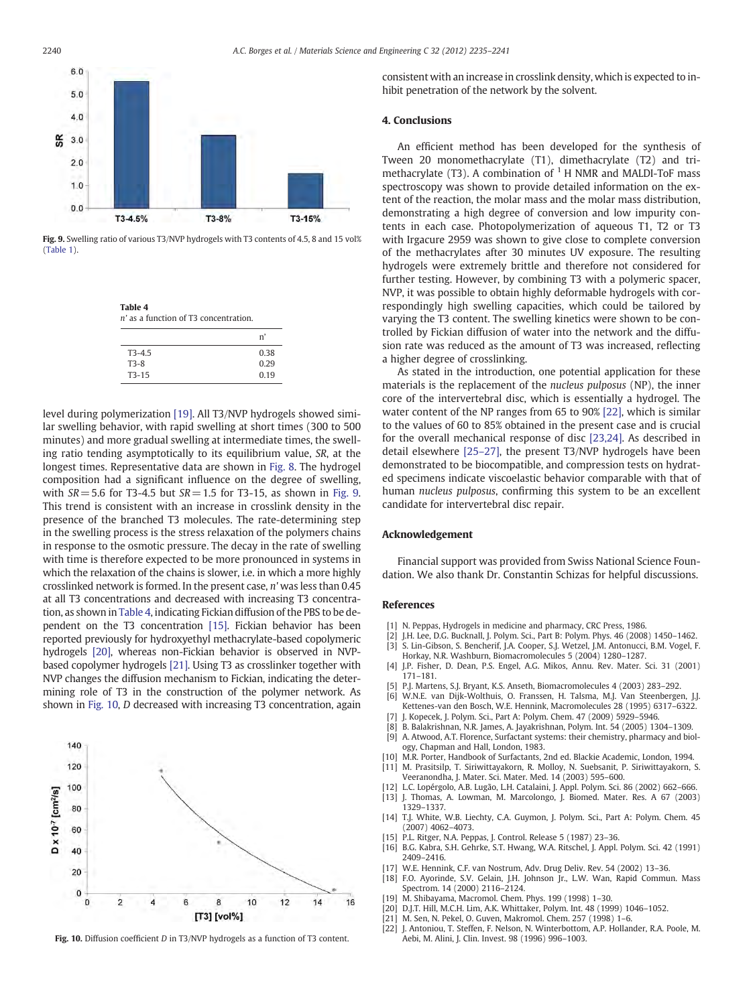<span id="page-5-0"></span>

Fig. 9. Swelling ratio of various T3/NVP hydrogels with T3 contents of 4.5, 8 and 15 vol% ([Table 1\)](#page-1-0).

Table 4 n' as a function of T3 concentration.

|          | 'n   |
|----------|------|
| $T3-4.5$ | 0.38 |
| $T3-8$   | 0.29 |
| $T3-15$  | 0.19 |

level during polymerization [19]. All T3/NVP hydrogels showed similar swelling behavior, with rapid swelling at short times (300 to 500 minutes) and more gradual swelling at intermediate times, the swelling ratio tending asymptotically to its equilibrium value, SR, at the longest times. Representative data are shown in [Fig. 8](#page-4-0). The hydrogel composition had a significant influence on the degree of swelling, with  $SR = 5.6$  for T3-4.5 but  $SR = 1.5$  for T3-15, as shown in Fig. 9. This trend is consistent with an increase in crosslink density in the presence of the branched T3 molecules. The rate-determining step in the swelling process is the stress relaxation of the polymers chains in response to the osmotic pressure. The decay in the rate of swelling with time is therefore expected to be more pronounced in systems in which the relaxation of the chains is slower, i.e. in which a more highly crosslinked network is formed. In the present case, n' was less than 0.45 at all T3 concentrations and decreased with increasing T3 concentration, as shown in Table 4, indicating Fickian diffusion of the PBS to be dependent on the T3 concentration [15]. Fickian behavior has been reported previously for hydroxyethyl methacrylate-based copolymeric hydrogels [20], whereas non-Fickian behavior is observed in NVPbased copolymer hydrogels [21]. Using T3 as crosslinker together with NVP changes the diffusion mechanism to Fickian, indicating the determining role of T3 in the construction of the polymer network. As shown in Fig. 10, D decreased with increasing T3 concentration, again



Fig. 10. Diffusion coefficient D in T3/NVP hydrogels as a function of T3 content.

consistent with an increase in crosslink density, which is expected to inhibit penetration of the network by the solvent.

# 4. Conclusions

An efficient method has been developed for the synthesis of Tween 20 monomethacrylate (T1), dimethacrylate (T2) and trimethacrylate (T3). A combination of  $1$  H NMR and MALDI-ToF mass spectroscopy was shown to provide detailed information on the extent of the reaction, the molar mass and the molar mass distribution, demonstrating a high degree of conversion and low impurity contents in each case. Photopolymerization of aqueous T1, T2 or T3 with Irgacure 2959 was shown to give close to complete conversion of the methacrylates after 30 minutes UV exposure. The resulting hydrogels were extremely brittle and therefore not considered for further testing. However, by combining T3 with a polymeric spacer, NVP, it was possible to obtain highly deformable hydrogels with correspondingly high swelling capacities, which could be tailored by varying the T3 content. The swelling kinetics were shown to be controlled by Fickian diffusion of water into the network and the diffusion rate was reduced as the amount of T3 was increased, reflecting a higher degree of crosslinking.

As stated in the introduction, one potential application for these materials is the replacement of the nucleus pulposus (NP), the inner core of the intervertebral disc, which is essentially a hydrogel. The water content of the NP ranges from 65 to 90% [22], which is similar to the values of 60 to 85% obtained in the present case and is crucial for the overall mechanical response of disc [\[23,24\].](#page-6-0) As described in detail elsewhere [\[25](#page-6-0)–27], the present T3/NVP hydrogels have been demonstrated to be biocompatible, and compression tests on hydrated specimens indicate viscoelastic behavior comparable with that of human nucleus pulposus, confirming this system to be an excellent candidate for intervertebral disc repair.

## Acknowledgement

Financial support was provided from Swiss National Science Foundation. We also thank Dr. Constantin Schizas for helpful discussions.

# References

- [1] N. Peppas, Hydrogels in medicine and pharmacy, CRC Press, 1986.
- J.H. Lee, D.G. Bucknall, J. Polym. Sci., Part B: Polym. Phys. 46 (2008) 1450-1462.
- [3] S. Lin-Gibson, S. Bencherif, J.A. Cooper, S.J. Wetzel, J.M. Antonucci, B.M. Vogel, F. Horkay, N.R. Washburn, Biomacromolecules 5 (2004) 1280–1287.
- [4] J.P. Fisher, D. Dean, P.S. Engel, A.G. Mikos, Annu. Rev. Mater. Sci. 31 (2001) 171–181.
- [5] P.J. Martens, S.J. Bryant, K.S. Anseth, Biomacromolecules 4 (2003) 283–292.
- W.N.E. van Dijk-Wolthuis, O. Franssen, H. Talsma, M.J. Van Steenbergen, J.J. Kettenes-van den Bosch, W.E. Hennink, Macromolecules 28 (1995) 6317–6322.
- [7] J. Kopecek, J. Polym. Sci., Part A: Polym. Chem. 47 (2009) 5929–5946.
- [8] B. Balakrishnan, N.R. James, A. Jayakrishnan, Polym. Int. 54 (2005) 1304–1309. [9] A. Atwood, A.T. Florence, Surfactant systems: their chemistry, pharmacy and biology, Chapman and Hall, London, 1983.
- [10] M.R. Porter, Handbook of Surfactants, 2nd ed. Blackie Academic, London, 1994.
- [11] M. Prasitsilp, T. Siriwittayakorn, R. Molloy, N. Suebsanit, P. Siriwittayakorn, S. Veeranondha, J. Mater. Sci. Mater. Med. 14 (2003) 595–600.
- [12] L.C. Lopérgolo, A.B. Lugão, L.H. Catalaini, J. Appl. Polym. Sci. 86 (2002) 662–666.
- [13] J. Thomas, A. Lowman, M. Marcolongo, J. Biomed. Mater. Res. A 67 (2003) 1329–1337.
- [14] T.J. White, W.B. Liechty, C.A. Guymon, J. Polym. Sci., Part A: Polym. Chem. 45 (2007) 4062–4073.
- [15] P.L. Ritger, N.A. Peppas, J. Control. Release 5 (1987) 23–36.
- [16] B.G. Kabra, S.H. Gehrke, S.T. Hwang, W.A. Ritschel, J. Appl. Polym. Sci. 42 (1991) 2409–2416.
- W.E. Hennink, C.F. van Nostrum, Adv. Drug Deliv. Rev. 54 (2002) 13–36.
- [18] F.O. Ayorinde, S.V. Gelain, J.H. Johnson Jr., L.W. Wan, Rapid Commun. Mass Spectrom. 14 (2000) 2116–2124.
- [19] M. Shibayama, Macromol. Chem. Phys. 199 (1998) 1–30.
- [20] D.J.T. Hill, M.C.H. Lim, A.K. Whittaker, Polym. Int. 48 (1999) 1046–1052.
- [21] M. Sen, N. Pekel, O. Guven, Makromol. Chem. 257 (1998) 1–6.
- [22] J. Antoniou, T. Steffen, F. Nelson, N. Winterbottom, A.P. Hollander, R.A. Poole, M. Aebi, M. Alini, J. Clin. Invest. 98 (1996) 996–1003.